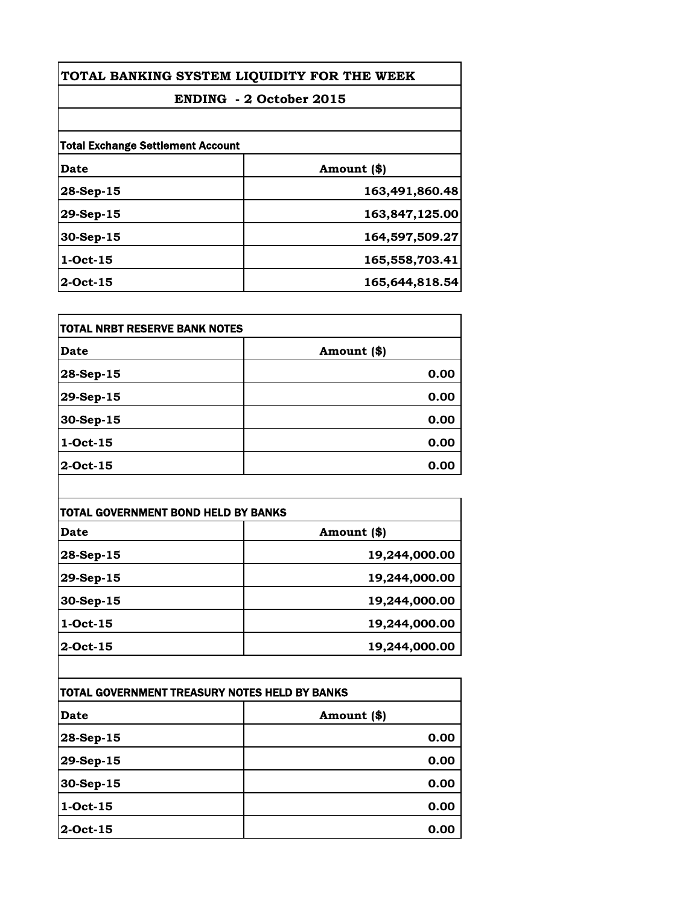| TOTAL BANKING SYSTEM LIQUIDITY FOR THE WEEK<br><b>ENDING - 2 October 2015</b> |                |
|-------------------------------------------------------------------------------|----------------|
|                                                                               |                |
| <b>Total Exchange Settlement Account</b>                                      |                |
| Date                                                                          | Amount (\$)    |
| $28$ -Sep-15                                                                  | 163,491,860.48 |
| 29-Sep-15                                                                     | 163,847,125.00 |
| 30-Sep-15                                                                     | 164,597,509.27 |
| $1-Oct-15$                                                                    | 165,558,703.41 |
| $2$ -Oct-15                                                                   | 165,644,818.54 |

| itotal NRBT RESERVE BANK NOTES |             |
|--------------------------------|-------------|
| Date                           | Amount (\$) |
| 28-Sep-15                      | 0.00        |
| 29-Sep-15                      | 0.00        |
| 30-Sep-15                      | 0.00        |
| 1-Oct-15                       | 0.00        |
| 2-Oct-15                       | 0.00        |

| TOTAL GOVERNMENT BOND HELD BY BANKS |               |
|-------------------------------------|---------------|
| Date                                | Amount (\$)   |
| 28-Sep-15                           | 19,244,000.00 |
| 29-Sep-15                           | 19,244,000.00 |
| 30-Sep-15                           | 19,244,000.00 |
| $1-Oct-15$                          | 19,244,000.00 |
| 2-Oct-15                            | 19,244,000.00 |

| TOTAL GOVERNMENT TREASURY NOTES HELD BY BANKS |             |
|-----------------------------------------------|-------------|
| <b>Date</b>                                   | Amount (\$) |
| 28-Sep-15                                     | 0.00        |
| 29-Sep-15                                     | 0.00        |
| $30-Sep-15$                                   | 0.00        |
| $1-Oct-15$                                    | 0.00        |
| $2$ -Oct-15                                   | 0.00        |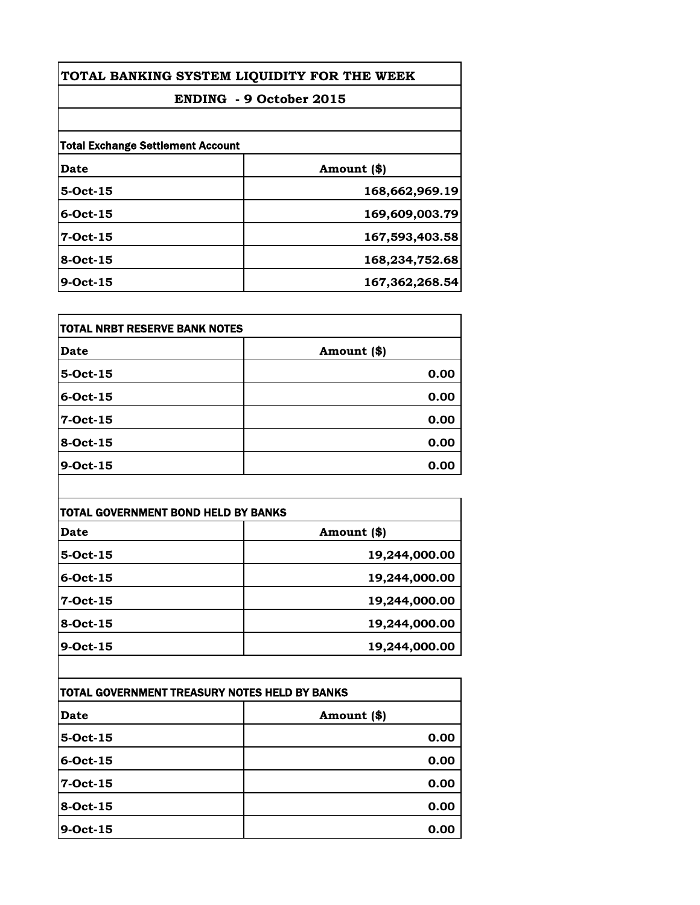| TOTAL BANKING SYSTEM LIQUIDITY FOR THE WEEK<br><b>ENDING - 9 October 2015</b> |                |                                          |             |
|-------------------------------------------------------------------------------|----------------|------------------------------------------|-------------|
|                                                                               |                | <b>Total Exchange Settlement Account</b> |             |
|                                                                               |                | Date                                     | Amount (\$) |
| $5-Oct-15$                                                                    | 168,662,969.19 |                                          |             |
| $6$ -Oct-15                                                                   | 169,609,003.79 |                                          |             |
| $7-Oct-15$                                                                    | 167,593,403.58 |                                          |             |
| 8-Oct-15                                                                      | 168,234,752.68 |                                          |             |
| $9$ -Oct-15                                                                   | 167,362,268.54 |                                          |             |

| TOTAL NRBT RESERVE BANK NOTES |             |
|-------------------------------|-------------|
| Date                          | Amount (\$) |
| 5-Oct-15                      | 0.00        |
| 6-Oct-15                      | 0.00        |
| 7-Oct-15                      | 0.00        |
| 8-Oct-15                      | 0.00        |
| 9-Oct-15                      | 0.00        |

| <b>TOTAL GOVERNMENT BOND HELD BY BANKS</b> |               |
|--------------------------------------------|---------------|
| Date                                       | Amount (\$)   |
| $5-Oct-15$                                 | 19,244,000.00 |
| $6$ -Oct-15                                | 19,244,000.00 |
| $7-Oct-15$                                 | 19,244,000.00 |
| 8-Oct-15                                   | 19,244,000.00 |
| $9$ -Oct-15                                | 19,244,000.00 |

| TOTAL GOVERNMENT TREASURY NOTES HELD BY BANKS |             |
|-----------------------------------------------|-------------|
| <b>Date</b>                                   | Amount (\$) |
| $5-Oct-15$                                    | 0.00        |
| $6$ -Oct-15                                   | 0.00        |
| 7-Oct-15                                      | 0.00        |
| 8-Oct-15                                      | 0.00        |
| 9-Oct-15                                      | 0.00        |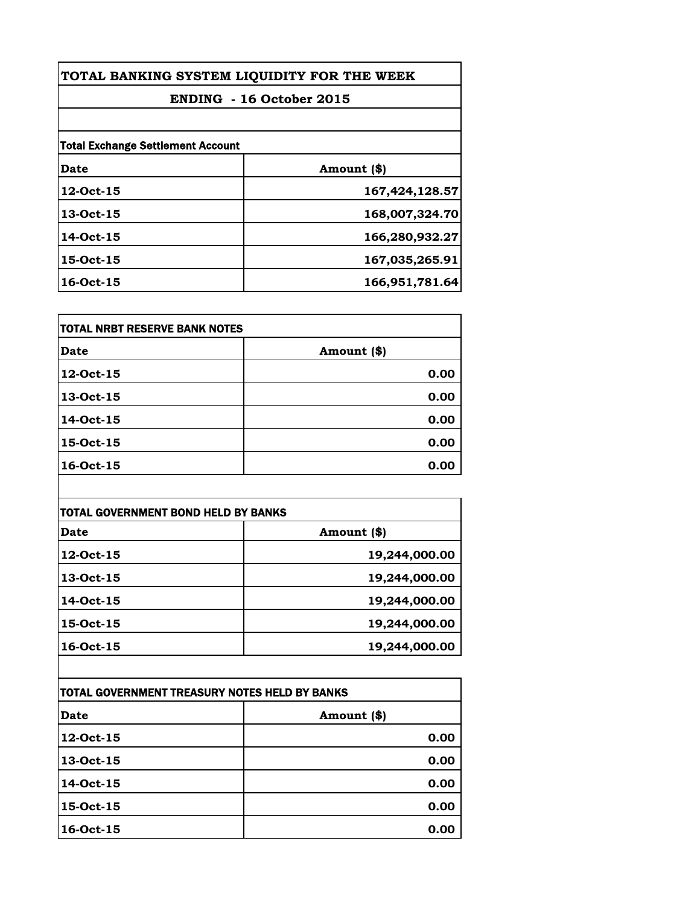| TOTAL BANKING SYSTEM LIQUIDITY FOR THE WEEK |                |
|---------------------------------------------|----------------|
| ENDING - 16 October 2015                    |                |
|                                             |                |
| <b>Total Exchange Settlement Account</b>    |                |
| Date                                        | Amount (\$)    |
| 12-Oct-15                                   | 167,424,128.57 |
| 13-Oct-15                                   | 168,007,324.70 |
| 14-Oct-15                                   | 166,280,932.27 |
| 15-Oct-15                                   | 167,035,265.91 |
| 16-Oct-15                                   | 166,951,781.64 |

| itotal NRBT RESERVE BANK NOTES |             |
|--------------------------------|-------------|
| Date                           | Amount (\$) |
| 12-Oct-15                      | 0.00        |
| 13-Oct-15                      | 0.00        |
| 14-Oct-15                      | 0.00        |
| 15-Oct-15                      | 0.00        |
| 16-Oct-15                      | 0.00        |

| TOTAL GOVERNMENT BOND HELD BY BANKS |               |
|-------------------------------------|---------------|
| Date                                | Amount (\$)   |
| 12-Oct-15                           | 19,244,000.00 |
| 13-Oct-15                           | 19,244,000.00 |
| 14-Oct-15                           | 19,244,000.00 |
| 15-Oct-15                           | 19,244,000.00 |
| 16-Oct-15                           | 19,244,000.00 |

| ITOTAL GOVERNMENT TREASURY NOTES HELD BY BANKS |             |
|------------------------------------------------|-------------|
| <b>Date</b>                                    | Amount (\$) |
| 12-Oct-15                                      | 0.00        |
| 13-Oct-15                                      | 0.00        |
| 14-Oct-15                                      | 0.00        |
| 15-Oct-15                                      | 0.00        |
| 16-Oct-15                                      | 0.00        |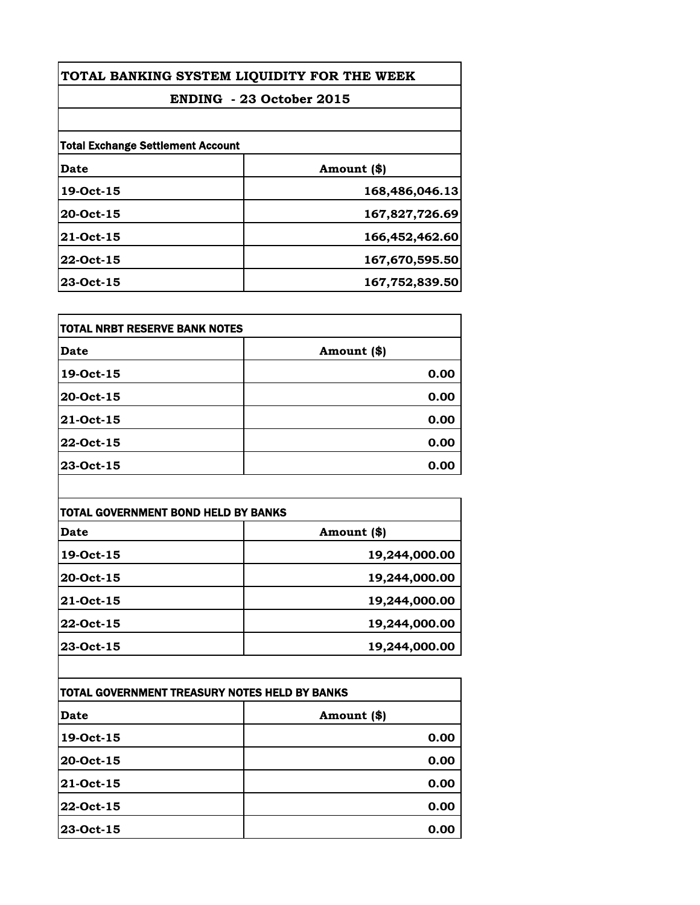| TOTAL BANKING SYSTEM LIQUIDITY FOR THE WEEK<br>ENDING - 23 October 2015 |                |  |
|-------------------------------------------------------------------------|----------------|--|
|                                                                         |                |  |
| <b>Total Exchange Settlement Account</b>                                |                |  |
| Date                                                                    | Amount (\$)    |  |
| 19-Oct-15                                                               | 168,486,046.13 |  |
| 20-Oct-15                                                               | 167,827,726.69 |  |
| 21-Oct-15                                                               | 166,452,462.60 |  |
| 22-Oct-15                                                               | 167,670,595.50 |  |
| 23-Oct-15                                                               | 167,752,839.50 |  |

| <b>TOTAL NRBT RESERVE BANK NOTES</b> |             |
|--------------------------------------|-------------|
| Date                                 | Amount (\$) |
| 19-Oct-15                            | 0.00        |
| 20-Oct-15                            | 0.00        |
| 21-Oct-15                            | 0.00        |
| 22-Oct-15                            | 0.00        |
| 23-Oct-15                            | 0.00        |

| TOTAL GOVERNMENT BOND HELD BY BANKS |               |
|-------------------------------------|---------------|
| Date                                | Amount (\$)   |
| 19-Oct-15                           | 19,244,000.00 |
| 20-Oct-15                           | 19,244,000.00 |
| 21-Oct-15                           | 19,244,000.00 |
| 22-Oct-15                           | 19,244,000.00 |
| 23-Oct-15                           | 19,244,000.00 |

| TOTAL GOVERNMENT TREASURY NOTES HELD BY BANKS |             |
|-----------------------------------------------|-------------|
| <b>Date</b>                                   | Amount (\$) |
| 19-Oct-15                                     | 0.00        |
| 20-Oct-15                                     | 0.00        |
| 21-Oct-15                                     | 0.00        |
| 22-Oct-15                                     | 0.00        |
| 23-Oct-15                                     | 0.00        |